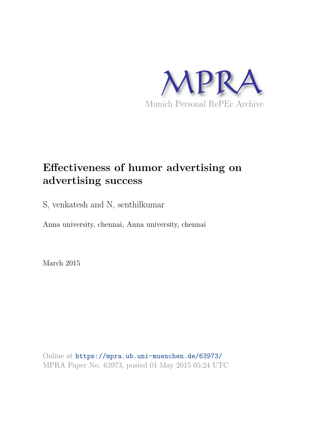

# **Effectiveness of humor advertising on advertising success**

S, venkatesh and N, senthilkumar

Anna university, chennai, Anna university, chennai

March 2015

Online at https://mpra.ub.uni-muenchen.de/63973/ MPRA Paper No. 63973, posted 01 May 2015 05:24 UTC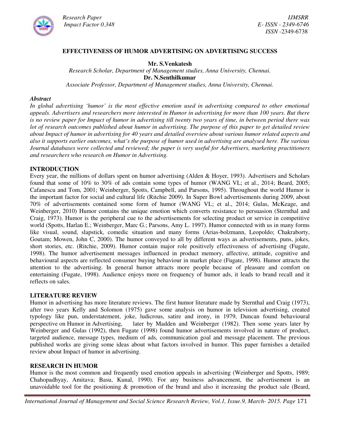

*Research Paper IJMSRR*

#### **EFFECTIVENESS OF HUMOR ADVERTISING ON ADVERTISING SUCCESS**

#### **Mr. S.Venkatesh**

*Research Scholar, Department of Management studies, Anna University, Chennai.* **Dr. N.Senthilkumar**

*Associate Professor, Department of Management studies, Anna University, Chennai.*

#### *Abstract*

*In global advertising 'humor' is the most effective emotion used in advertising compared to other emotional appeals. Advertisers and researchers more interested in Humor in advertising for more than 100 years. But there is no review paper for Impact of humor in advertising till twenty two years of time, in between period there was lot of research outcomes published about humor in advertising. The purpose of this paper to get detailed review about Impact of humor in advertising for 40 years and detailed overview about various humor related aspects and also it supports earlier outcomes, what's the purpose of humor used in advertising are analysed here. The various Journal databases were collected and reviewed; the paper is very useful for Advertisers, marketing practitioners and researchers who research on Humor in Advertising.*

#### **INTRODUCTION**

Every year, the millions of dollars spent on humor advertising (Alden & Hoyer, 1993). Advertisers and Scholars found that some of 10% to 30% of ads contain some types of humor (WANG VL; et al., 2014; Beard, 2005; Cafanescu and Tom, 2001; Weinberger, Spotts, Campbell, and Parsons, 1995). Throughout the world Humor is the important factor for social and cultural life (Ritchie 2009). In Super Bowl advertisements during 2009, about 70% of advertisements contained some form of humor (WANG VL; et al., 2014; Gulas, McKeage, and Weinberger, 2010) Humor contains the unique emotion which converts resistance to persuasion (Sternthal and Craig, 1973). Humor is the peripheral cue to the advertisements for selecting product or service in competitive world (Spotts, Harlan E.; Weinberger, Marc G.; Parsons, Amy L. 1997). Humor connected with us in many forms like visual, sound, slapstick, comedic situation and many forms (Arias-bolzmann, Leopoldo; Chakraborty, Goutam; Mowen, John C, 2000). The humor conveyed to all by different ways as advertisements, puns, jokes, short stories, etc. (Ritchie, 2009). Humor contain major role positively effectiveness of advertising (Fugate, 1998). The humor advertisement messages influenced in product memory, affective, attitude, cognitive and behavioural aspects are reflected consumer buying behaviour in market place (Fugate, 1998). Humor attracts the attention to the advertising. In general humor attracts more people because of pleasure and comfort on entertaining (Fugate, 1998). Audience enjoys more on frequency of humor ads, it leads to brand recall and it reflects on sales.

#### **LITERATURE REVIEW**

Humor in advertising has more literature reviews. The first humor literature made by Sternthal and Craig (1973), after two years Kelly and Solomon (1975) gave some analysis on humor in television advertising, created typology like pun, understatement, joke, ludicrous, satire and irony, in 1979, Duncan found behavioural perspective on Humor in Advertising, later by Madden and Weinberger (1982). Then some years later by Weinberger and Gulas (1992), then Fugate (1998) found humor advertisements involved in nature of product, targeted audience, message types, medium of ads, communication goal and message placement. The previous published works are giving some ideas about what factors involved in humor. This paper furnishes a detailed review about Impact of humor in advertising.

#### **RESEARCH IN HUMOR**

Humor is the most common and frequently used emotion appeals in advertising (Weinberger and Spotts, 1989; Chahopadhyay, Amitava; Basu, Kunal, 1990). For any business advancement, the advertisement is an unavoidable tool for the positioning & promotion of the brand and also it increasing the product sale (Beard,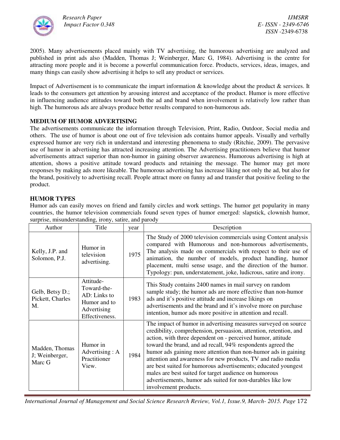

2005). Many advertisements placed mainly with TV advertising, the humorous advertising are analyzed and published in print ads also (Madden, Thomas J; Weinberger, Marc G, 1984). Advertising is the centre for attracting more people and it is become a powerful communication force. Products, services, ideas, images, and many things can easily show advertising it helps to sell any product or services.

Impact of Advertisement is to communicate the impart information & knowledge about the product & services. It leads to the consumers get attention by arousing interest and acceptance of the product. Humor is more effective in influencing audience attitudes toward both the ad and brand when involvement is relatively low rather than high. The humorous ads are always produce better results compared to non-humorous ads.

# **MEDIUM OF HUMOR ADVERTISING**

The advertisements communicate the information through Television, Print, Radio, Outdoor, Social media and others. The use of humor is about one out of five television ads contains humor appeals. Visually and verbally expressed humor are very rich in understand and interesting phenomena to study (Ritchie, 2009). The pervasive use of humor in advertising has attracted increasing attention. The Advertising practitioners believe that humor advertisements attract superior than non-humor in gaining observer awareness. Humorous advertising is high at attention, shows a positive attitude toward products and retaining the message. The humor may get more responses by making ads more likeable. The humorous advertising has increase liking not only the ad, but also for the brand, positively to advertising recall. People attract more on funny ad and transfer that positive feeling to the product.

# **HUMOR TYPES**

Humor ads can easily moves on friend and family circles and work settings. The humor get popularity in many countries, the humor television commercials found seven types of humor emerged: slapstick, clownish humor, surprise, misunderstanding, irony, satire, and parody

| Author                                     | Title                                                                                     | year | Description                                                                                                                                                                                                                                                                                                                                                                                                                                                                                                                                                                                                           |
|--------------------------------------------|-------------------------------------------------------------------------------------------|------|-----------------------------------------------------------------------------------------------------------------------------------------------------------------------------------------------------------------------------------------------------------------------------------------------------------------------------------------------------------------------------------------------------------------------------------------------------------------------------------------------------------------------------------------------------------------------------------------------------------------------|
| Kelly, J.P. and<br>Solomon, P.J.           | Humor in<br>television<br>advertising.                                                    | 1975 | The Study of 2000 television commercials using Content analysis<br>compared with Humorous and non-humorous advertisements,<br>The analysis made on commercials with respect to their use of<br>animation, the number of models, product handling, humor<br>placement, multi sense usage, and the direction of the humor.<br>Typology: pun, understatement, joke, ludicrous, satire and irony.                                                                                                                                                                                                                         |
| Gelb, Betsy D.;<br>Pickett, Charles<br>M.  | Attitude-<br>Toward-the-<br>AD: Links to<br>Humor and to<br>Advertising<br>Effectiveness. | 1983 | This Study contains 2400 names in mail survey on random<br>sample study; the humor ads are more effective than non-humor<br>ads and it's positive attitude and increase likings on<br>advertisements and the brand and it's involve more on purchase<br>intention, humor ads more positive in attention and recall.                                                                                                                                                                                                                                                                                                   |
| Madden, Thomas<br>J; Weinberger,<br>Marc G | Humor in<br>Advertising: A<br>Practitioner<br>View.                                       | 1984 | The impact of humor in advertising measures surveyed on source<br>credibility, comprehension, persuasion, attention, retention, and<br>action, with three dependent on - perceived humor, attitude<br>toward the brand, and ad recall, 94% respondents agreed the<br>humor ads gaining more attention than non-humor ads in gaining<br>attention and awareness for new products, TV and radio media<br>are best suited for humorous advertisements; educated youngest<br>males are best suited for target audience on humorous<br>advertisements, humor ads suited for non-durables like low<br>involvement products. |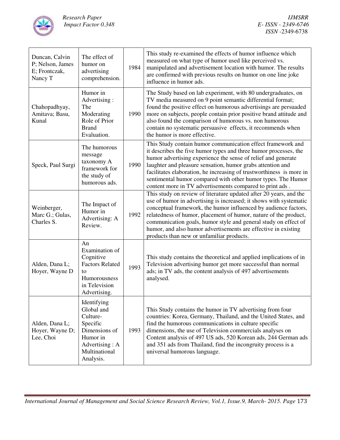

| Duncan, Calvin<br>P; Nelson, James<br>E; Frontczak,<br>Nancy T | The effect of<br>humor on<br>advertising<br>comprehension.                                                                      | 1984 | This study re-examined the effects of humor influence which<br>measured on what type of humor used like perceived vs.<br>manipulated and advertisement location with humor. The results<br>are confirmed with previous results on humor on one line joke<br>influence in humor ads.                                                                                                                                                                                |
|----------------------------------------------------------------|---------------------------------------------------------------------------------------------------------------------------------|------|--------------------------------------------------------------------------------------------------------------------------------------------------------------------------------------------------------------------------------------------------------------------------------------------------------------------------------------------------------------------------------------------------------------------------------------------------------------------|
| Chahopadhyay,<br>Amitava; Basu,<br>Kunal                       | Humor in<br>Advertising:<br>The<br>Moderating<br>Role of Prior<br><b>Brand</b><br>Evaluation.                                   | 1990 | The Study based on lab experiment, with 80 undergraduates, on<br>TV media measured on 9 point semantic differential format;<br>found the positive effect on humorous advertisings are persuaded<br>more on subjects, people contain prior positive brand attitude and<br>also found the comparison of humorous vs. non humorous<br>contain no systematic persuasive effects, it recommends when<br>the humor is more effective.                                    |
| Speck, Paul Surgi                                              | The humorous<br>message<br>taxonomy A<br>framework for<br>the study of<br>humorous ads.                                         | 1990 | This Study contain humor communication effect framework and<br>it describes the five humor types and three humor processes, the<br>humor advertising experience the sense of relief and generate<br>laughter and pleasure sensation, humor grabs attention and<br>facilitates elaboration, he increasing of trustworthiness is more in<br>sentimental humor compared with other humor types. The Humor<br>content more in TV advertisements compared to print ads. |
| Weinberger,<br>Marc G.; Gulas,<br>Charles S.                   | The Impact of<br>Humor in<br>Advertising: A<br>Review.                                                                          | 1992 | This study on review of literature updated after 20 years, and the<br>use of humor in advertising is increased; it shows with systematic<br>conceptual framework, the humor influenced by audience factors,<br>relatedness of humor, placement of humor, nature of the product,<br>communication goals, humor style and general study on effect of<br>humor, and also humor advertisements are effective in existing<br>products than new or unfamiliar products.  |
| Alden, Dana L;<br>Hoyer, Wayne D                               | An<br>Examination of<br>Cognitive<br><b>Factors Related</b><br>to<br>Humorousness<br>in Television<br>Advertising.              | 1993 | This study contains the theoretical and applied implications of in<br>Television advertising humor get more successful than normal<br>ads; in TV ads, the content analysis of 497 advertisements<br>analysed.                                                                                                                                                                                                                                                      |
| Alden, Dana L;<br>Hoyer, Wayne D;<br>Lee, Choi                 | Identifying<br>Global and<br>Culture-<br>Specific<br>Dimensions of<br>Humor in<br>Advertising : A<br>Multinational<br>Analysis. | 1993 | This Study contains the humor in TV advertising from four<br>countries: Korea, Germany, Thailand, and the United States, and<br>find the humorous communications in culture specific<br>dimensions, the use of Television commercials analyses on<br>Content analysis of 497 US ads, 520 Korean ads, 244 German ads<br>and 351 ads from Thailand, find the incongruity process is a<br>universal humorous language.                                                |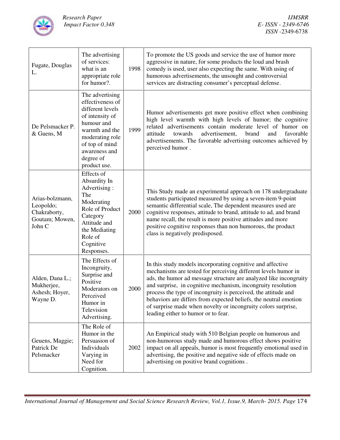

| Fugate, Douglas<br>L.                                                    | The advertising<br>of services:<br>what is an<br>appropriate role<br>for humor?.                                                                                                              | 1998 | To promote the US goods and service the use of humor more<br>aggressive in nature, for some products the loud and brash<br>comedy is used, user also expecting the same. With using of<br>humorous advertisements, the unsought and controversial<br>services are distracting consumer's perceptual defense.                                                                                                                                                                                                    |
|--------------------------------------------------------------------------|-----------------------------------------------------------------------------------------------------------------------------------------------------------------------------------------------|------|-----------------------------------------------------------------------------------------------------------------------------------------------------------------------------------------------------------------------------------------------------------------------------------------------------------------------------------------------------------------------------------------------------------------------------------------------------------------------------------------------------------------|
| De Pelsmacker P.<br>& Guens, M                                           | The advertising<br>effectiveness of<br>different levels<br>of intensity of<br>humour and<br>warmth and the<br>moderating role<br>of top of mind<br>awareness and<br>degree of<br>product use. | 1999 | Humor advertisements get more positive effect when combining<br>high level warmth with high levels of humor; the cognitive<br>related advertisements contain moderate level of humor on<br>advertisement,<br>towards<br>brand<br>and<br>favorable<br>attitude<br>advertisements. The favorable advertising outcomes achieved by<br>perceived humor.                                                                                                                                                             |
| Arias-bolzmann,<br>Leopoldo;<br>Chakraborty,<br>Goutam; Mowen,<br>John C | Effects of<br>Absurdity In<br>Advertising:<br>The<br>Moderating<br>Role of Product<br>Category<br>Attitude and<br>the Mediating<br>Role of<br>Cognitive<br>Responses.                         | 2000 | This Study made an experimental approach on 178 undergraduate<br>students participated measured by using a seven-item 9-point<br>semantic differential scale, The dependent measures used are<br>cognitive responses, attitude to brand, attitude to ad, and brand<br>name recall, the result is more positive attitudes and more<br>positive cognitive responses than non humorous, the product<br>class is negatively predisposed.                                                                            |
| Alden, Dana L.;<br>Mukherjee,<br>Ashesh; Hoyer,<br>Wayne D.              | The Effects of<br>Incongruity,<br>Surprise and<br>Positive<br>Moderators on<br>Perceived<br>Humor in<br>Television<br>Advertising.                                                            | 2000 | In this study models incorporating cognitive and affective<br>mechanisms are tested for perceiving different levels humor in<br>ads, the humor ad message structure are analyzed like incongruity<br>and surprise, in cognitive mechanism, incongruity resolution<br>process the type of incongruity is perceived, the attitude and<br>behaviors are differs from expected beliefs, the neutral emotion<br>of surprise made when novelty or incongruity colors surprise,<br>leading either to humor or to fear. |
| Geuens, Maggie;<br>Patrick De<br>Pelsmacker                              | The Role of<br>Humor in the<br>Persuasion of<br>Individuals<br>Varying in<br>Need for<br>Cognition.                                                                                           | 2002 | An Empirical study with 510 Belgian people on humorous and<br>non-humorous study made and humorous effect shows positive<br>impact on all appeals, humor is most frequently emotional used in<br>advertising, the positive and negative side of effects made on<br>advertising on positive brand cognitions.                                                                                                                                                                                                    |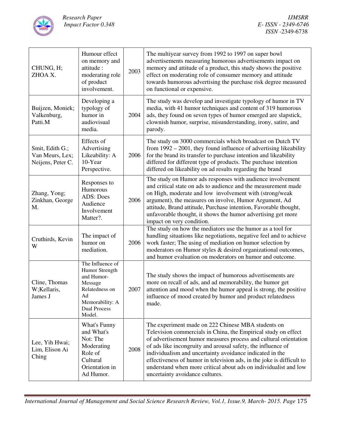

| CHUNG, H;<br>ZHOA X.                                    | Humour effect<br>on memory and<br>attitude:<br>moderating role<br>of product<br>involvement.                                            | 2003 | The multiyear survey from 1992 to 1997 on super bowl<br>advertisements measuring humorous advertisements impact on<br>memory and attitude of a product, this study shows the positive<br>effect on moderating role of consumer memory and attitude<br>towards humorous advertising the purchase risk degree measured<br>on functional or expensive.                                                                                                                                                  |
|---------------------------------------------------------|-----------------------------------------------------------------------------------------------------------------------------------------|------|------------------------------------------------------------------------------------------------------------------------------------------------------------------------------------------------------------------------------------------------------------------------------------------------------------------------------------------------------------------------------------------------------------------------------------------------------------------------------------------------------|
| Buijzen, Moniek;<br>Valkenburg,<br>Patti.M              | Developing a<br>typology of<br>humor in<br>audiovisual<br>media.                                                                        | 2004 | The study was develop and investigate typology of humor in TV<br>media, with 41 humor techniques and content of 319 humorous<br>ads, they found on seven types of humor emerged are slapstick,<br>clownish humor, surprise, misunderstanding, irony, satire, and<br>parody.                                                                                                                                                                                                                          |
| Smit, Edith G.;<br>Van Meurs, Lex;<br>Neijens, Peter C. | Effects of<br>Advertising<br>Likeability: A<br>10-Year<br>Perspective.                                                                  | 2006 | The study on 3000 commercials which broadcast on Dutch TV<br>from $1992 - 2001$ , they found influence of advertising likeability<br>for the brand its transfer to purchase intention and likeability<br>differed for different type of products. The purchase intention<br>differed on likeability on ad results regarding the brand                                                                                                                                                                |
| Zhang, Yong;<br>Zinkhan, George<br>M.                   | Responses to<br>Humorous<br><b>ADS: Does</b><br>Audience<br>Involvement<br>Matter?.                                                     | 2006 | The study on Humor ads responses with audience involvement<br>and critical state on ads to audience and the measurement made<br>on High, moderate and low involvement with (strong/weak<br>argument), the measures on involve, Humor Argument, Ad<br>attitude, Brand attitude, Purchase intention, Favorable thought,<br>unfavorable thought, it shows the humor advertising get more<br>impact on very condition.                                                                                   |
| Cruthirds, Kevin<br>W                                   | The impact of<br>humor on<br>mediation.                                                                                                 | 2006 | The study on how the mediators use the humor as a tool for<br>handling situations like negotiations, negative feel and to achieve<br>work faster; The using of mediation on humor selection by<br>moderators on Humor styles & desired organizational outcomes,<br>and humor evaluation on moderators on humor and outcome.                                                                                                                                                                          |
| Cline, Thomas<br>W;Kellaris,<br>James J                 | The Influence of<br>Humor Strength<br>and Humor-<br>Message<br>Relatedness on<br>Ad<br>Memorability: A<br><b>Dual Process</b><br>Model. | 2007 | The study shows the impact of humorous advertisements are<br>more on recall of ads, and ad memorability, the humor get<br>attention and mood when the humor appeal is strong, the positive<br>influence of mood created by humor and product relatedness<br>made.                                                                                                                                                                                                                                    |
| Lee, Yih Hwai;<br>Lim, Elison Ai<br>Ching               | What's Funny<br>and What's<br>Not: The<br>Moderating<br>Role of<br>Cultural<br>Orientation in<br>Ad Humor.                              | 2008 | The experiment made on 222 Chinese MBA students on<br>Television commercials in China, the Empirical study on effect<br>of advertisement humor measures process and cultural orientation<br>of ads like incongruity and arousal safety, the influence of<br>individualism and uncertainty avoidance indicated in the<br>effectiveness of humor in television ads, in the joke is difficult to<br>understand when more critical about ads on individualist and low<br>uncertainty avoidance cultures. |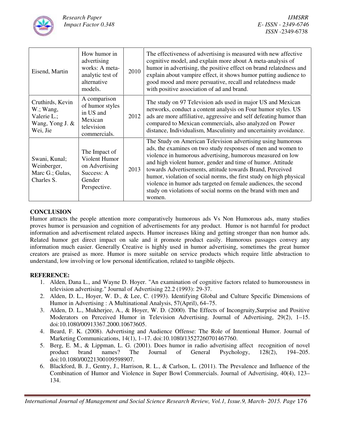

| Eisend, Martin                                                                 | How humor in<br>advertising<br>works: A meta-<br>analytic test of<br>alternative<br>models. | 2010 | The effectiveness of advertising is measured with new affective<br>cognitive model, and explain more about A meta-analysis of<br>humor in advertising, the positive effect on brand relatedness and<br>explain about vampire effect, it shows humor putting audience to<br>good mood and more persuative, recall and relatedness made<br>with positive association of ad and brand.                                                                                                                                                     |
|--------------------------------------------------------------------------------|---------------------------------------------------------------------------------------------|------|-----------------------------------------------------------------------------------------------------------------------------------------------------------------------------------------------------------------------------------------------------------------------------------------------------------------------------------------------------------------------------------------------------------------------------------------------------------------------------------------------------------------------------------------|
| Cruthirds, Kevin<br>$W$ .; Wang,<br>Valerie L.;<br>Wang, Yong J. &<br>Wei, Jie | A comparison<br>of humor styles<br>in US and<br>Mexican<br>television<br>commercials.       | 2012 | The study on 97 Television ads used in major US and Mexican<br>networks, conduct a content analysis on Four humor styles. US<br>ads are more affiliative, aggressive and self defeating humor than<br>compared to Mexican commercials, also analyzed on Power<br>distance, Individualism, Masculinity and uncertainity avoidance.                                                                                                                                                                                                       |
| Swani, Kunal;<br>Weinberger,<br>Marc G.; Gulas,<br>Charles S.                  | The Impact of<br>Violent Humor<br>on Advertising<br>Success: A<br>Gender<br>Perspective.    | 2013 | The Study on American Television advertising using humorous<br>ads, the examines on two study responses of men and women to<br>violence in humorous advertising, humorous measured on low<br>and high violent humor, gender and time of humor. Attitude<br>towards Advertisements, attitude towards Brand, Perceived<br>humor, violation of social norms, the first study on high physical<br>violence in humor ads targeted on female audiences, the second<br>study on violations of social norms on the brand with men and<br>women. |

# **CONCLUSION**

Humor attracts the people attention more comparatively humorous ads Vs Non Humorous ads, many studies proves humor is persuasion and cognition of advertisements for any product. Humor is not harmful for product information and advertisement related aspects. Humor increases liking and getting stronger than non humor ads. Related humor get direct impact on sale and it promote product easily. Humorous passages convey any information much easier. Generally Creative is highly used in humor advertising, sometimes the great humor creators are praised as more. Humor is more suitable on service products which require little abstraction to understand, low involving or low personal identification, related to tangible objects.

### **REFERENCE:**

- 1. Alden, Dana L., and Wayne D. Hoyer. "An examination of cognitive factors related to humorousness in television advertising." Journal of Advertising 22.2 (1993): 29-37.
- 2. Alden, D. L., Hoyer, W. D., & Lee, C. (1993). Identifying Global and Culture Specific Dimensions of Humor in Advertising : A Multinational Analysis, 57(April), 64–75.
- 3. Alden, D. L., Mukherjee, A., & Hoyer, W. D. (2000). The Effects of Incongruity,Surprise and Positive Moderators on Perceived Humor in Television Advertising. Journal of Advertising, 29(2), 1–15. doi:10.1080/00913367.2000.10673605.
- 4. Beard, F. K. (2008). Advertising and Audience Offense: The Role of Intentional Humor. Journal of Marketing Communications, 14(1), 1–17. doi:10.1080/13527260701467760.
- 5. Berg, E. M., & Lippman, L. G. (2001). Does humor in radio advertising affect recognition of novel product brand names? The Journal of General Psychology, 128(2), 194–205. doi:10.1080/00221300109598907.
- 6. Blackford, B. J., Gentry, J., Harrison, R. L., & Carlson, L. (2011). The Prevalence and Influence of the Combination of Humor and Violence in Super Bowl Commercials. Journal of Advertising, 40(4), 123– 134.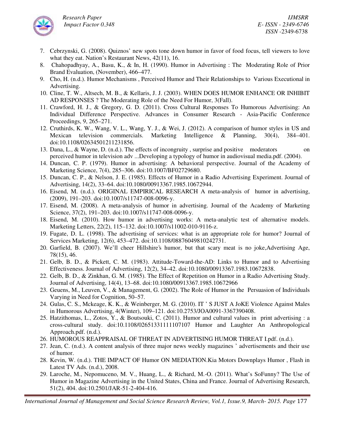

- 7. Cebrzynski, G. (2008). Quiznos' new spots tone down humor in favor of food focus, tell viewers to love what they eat. Nation's Restaurant News, 42(11), 16.
- 8. Chahopadhyay, A., Basu, K., & In, H. (1990). Humor in Advertising : The Moderating Role of Prior Brand Evaluation, (November), 466–477.
- 9. Cho, H. (n.d.). Humor Mechanisms , Perceived Humor and Their Relationships to Various Executional in Advertising.
- 10. Cline, T. W., Altsech, M. B., & Kellaris, J. J. (2003). WHEN DOES HUMOR ENHANCE OR INHIBIT AD RESPONSES ? The Moderating Role of the Need For Humor, 3(Fall).
- 11. Crawford, H. J., & Gregory, G. D. (2011). Cross Cultural Responses To Humorous Advertising: An Individual Difference Perspective. Advances in Consumer Research - Asia-Pacific Conference Proceedings, 9, 265–271.
- 12. Cruthirds, K. W., Wang, V. L., Wang, Y. J., & Wei, J. (2012). A comparison of humor styles in US and Mexican television commercials. Marketing Intelligence & Planning, 30(4), 384–401. doi:10.1108/02634501211231856.
- 13. Dana, L., & Wayne, D. (n.d.). The effects of incongruity , surprise and positive moderators on perceived humor in television adv ...Developing a typology of humor in audiovisual media.pdf. (2004).
- 14. Duncan, C. P. (1979). Humor in advertising: A behavioral perspective. Journal of the Academy of Marketing Science, 7(4), 285–306. doi:10.1007/BF02729680.
- 15. Duncan, C. P., & Nelson, J. E. (1985). Effects of Humor in a Radio Advertising Experiment. Journal of Advertising, 14(2), 33–64. doi:10.1080/00913367.1985.10672944.
- 16. Eisend, M. (n.d.). ORIGINAL EMPIRICAL RESEARCH A meta-analysis of humor in advertising, (2009), 191–203. doi:10.1007/s11747-008-0096-y.
- 17. Eisend, M. (2008). A meta-analysis of humor in advertising. Journal of the Academy of Marketing Science, 37(2), 191–203. doi:10.1007/s11747-008-0096-y.
- 18. Eisend, M. (2010). How humor in advertising works: A meta-analytic test of alternative models. Marketing Letters, 22(2), 115–132. doi:10.1007/s11002-010-9116-z.
- 19. Fugate, D. L. (1998). The advertising of services: what is an appropriate role for humor? Journal of Services Marketing, 12(6), 453–472. doi:10.1108/08876049810242731.
- 20. Garfield, B. (2007). We'll cheer Hillshire's humor, but that scary meat is no joke,Advertising Age, 78(15), 46.
- 21. Gelb, B. D., & Pickett, C. M. (1983). Attitude-Toward-the-AD: Links to Humor and to Advertising Effectiveness. Journal of Advertising, 12(2), 34–42. doi:10.1080/00913367.1983.10672838.
- 22. Gelb, B. D., & Zinkhan, G. M. (1985). The Effect of Repetition on Humor in a Radio Advertising Study. Journal of Advertising, 14(4), 13–68. doi:10.1080/00913367.1985.10672966
- 23. Geuens, M., Leuven, V., & Management, G. (2002). The Role of Humor in the Persuasion of Individuals Varying in Need for Cognition, 50–57.
- 24. Gulas, C. S., Mckeage, K. K., & Weinberger, M. G. (2010). IT ' S JUST A JoKE Violence Against Males in Humorous Advertising, 4(Winter), 109–121. doi:10.2753/JOA0091-3367390408.
- 25. Hatzithomas, L., Zotos, Y., & Boutsouki, C. (2011). Humor and cultural values in print advertising : a cross-cultural study. doi:10.1108/02651331111107107 Humor and Laughter An Anthropological Approach.pdf. (n.d.).
- 26. HUMOROUS REAPPRAISAL OF THREAT IN ADVERTISING HUMOR THREAT I.pdf. (n.d.).
- 27. Jean, C. (n.d.). A content analysis of three major news weekly magazines ' advertisements and their use of humor.
- 28. Kevin, W. (n.d.). THE IMPACT OF Humor ON MEDIATION.Kia Motors Downplays Humor , Flash in Latest TV Ads. (n.d.), 2008.
- 29. Laroche, M., Nepomuceno, M. V., Huang, L., & Richard, M.-O. (2011). What's SoFunny? The Use of Humor in Magazine Advertising in the United States, China and France. Journal of Advertising Research, 51(2), 404. doi:10.2501/JAR-51-2-404-416.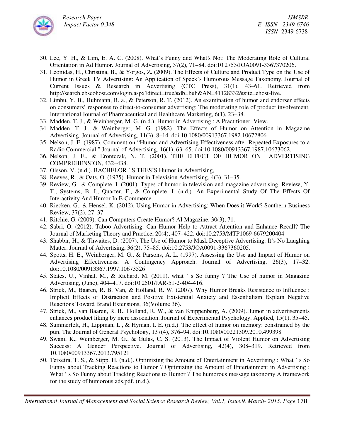

- 30. Lee, Y. H., & Lim, E. A. C. (2008). What's Funny and What's Not: The Moderating Role of Cultural Orientation in Ad Humor. Journal of Advertising, 37(2), 71–84. doi:10.2753/JOA0091-3367370206.
- 31. Leonidas, H., Christina, B., & Yorgos, Z. (2009). The Effects of Culture and Product Type on the Use of Humor in Greek TV Advertising: An Application of Speck's Humorous Message Taxonomy. Journal of Current Issues & Research in Advertising (CTC Press), 31(1), 43–61. Retrieved from http://search.ebscohost.com/login.aspx?direct=true&db=buh&AN=41128332&site=ehost-live.
- 32. Limbu, Y. B., Huhmann, B. a., & Peterson, R. T. (2012). An examination of humor and endorser effects on consumers' responses to direct-to-consumer advertising: The moderating role of product involvement. International Journal of Pharmaceutical and Healthcare Marketing, 6(1), 23–38.
- 33. Madden, T. J., & Weinberger, M. G. (n.d.). Humor in Advertising : A Practitioner View.
- 34. Madden, T. J., & Weinberger, M. G. (1982). The Effects of Humor on Attention in Magazine Advertising. Journal of Advertising, 11(3), 8–14. doi:10.1080/00913367.1982.10672806
- 35. Nelson, J. E. (1987). Comment on "Humor and Advertising Effectiveness after Repeated Exposures to a Radio Commercial." Journal of Advertising, 16(1), 63–65. doi:10.1080/00913367.1987.10673062.
- 36. Nelson, J. E., & Erontczak, N. T. (2001). THE EFFECT OF HUMOR ON ADVERTISING COMPREHENSION, 432–438.
- 37. Olsson, V. (n.d.). BACHELOR ' S THESIS Humor in Advertising,
- 38. Reeves, R., & Oats, O. (1975). Humor in Television Advertising, 4(3), 31–35.
- 39. Review, G., & Complete, I. (2001). Types of humor in television and magazine advertising. Review, Y. T., Systems, B. I., Quarter, F., & Complete, I. (n.d.). An Experimental Study Of The Effects Of Interactivity And Humor In E-Commerce.
- 40. Riecken, G., & Hensel, K. (2012). Using Humor in Advertising: When Does it Work? Southern Business Review, 37(2), 27–37.
- 41. Ritchie, G. (2009). Can Computers Create Humor? AI Magazine, 30(3), 71.
- 42. Sabri, O. (2012). Taboo Advertising: Can Humor Help to Attract Attention and Enhance Recall? The Journal of Marketing Theory and Practice, 20(4), 407–422. doi:10.2753/MTP1069-6679200404
- 43. Shabbir, H., & Thwaites, D. (2007). The Use of Humor to Mask Deceptive Advertising: It's No Laughing Matter. Journal of Advertising, 36(2), 75–85. doi:10.2753/JOA0091-3367360205.
- 44. Spotts, H. E., Weinberger, M. G., & Parsons, A. L. (1997). Assessing the Use and Impact of Humor on Advertising Effectiveness: A Contingency Approach. Journal of Advertising, 26(3), 17–32. doi:10.1080/00913367.1997.10673526
- 45. States, U., Vinhal, M., & Richard, M. (2011). what ' s So funny ? The Use of humor in Magazine Advertising, (June), 404–417. doi:10.2501/JAR-51-2-404-416.
- 46. Strick, M., Baaren, R. B. Van, & Holland, R. W. (2007). Why Humor Breaks Resistance to Influence : Implicit Effects of Distraction and Positive Existential Anxiety and Essentialism Explain Negative Reactions Toward Brand Extensions, 36(Volume 36).
- 47. Strick, M., van Baaren, R. B., Holland, R. W., & van Knippenberg, A. (2009).Humor in advertisements enhances product liking by mere association. Journal of Experimental Psychology. Applied, 15(1), 35–45.
- 48. Summerfelt, H., Lippman, L., & Hyman, I. E. (n.d.). The effect of humor on memory: constrained by the pun. The Journal of General Psychology, 137(4), 376–94. doi:10.1080/00221309.2010.499398
- 49. Swani, K., Weinberger, M. G., & Gulas, C. S. (2013). The Impact of Violent Humor on Advertising Success: A Gender Perspective. Journal of Advertising, 42(4), 308–319. Retrieved from 10.1080/00913367.2013.795121
- 50. Teixeira, T. S., & Stipp, H. (n.d.). Optimizing the Amount of Entertainment in Advertising : What ' s So Funny about Tracking Reactions to Humor ? Optimizing the Amount of Entertainment in Advertising : What ' s So Funny about Tracking Reactions to Humor ? The humorous message taxonomy A framework for the study of humorous ads.pdf. (n.d.).